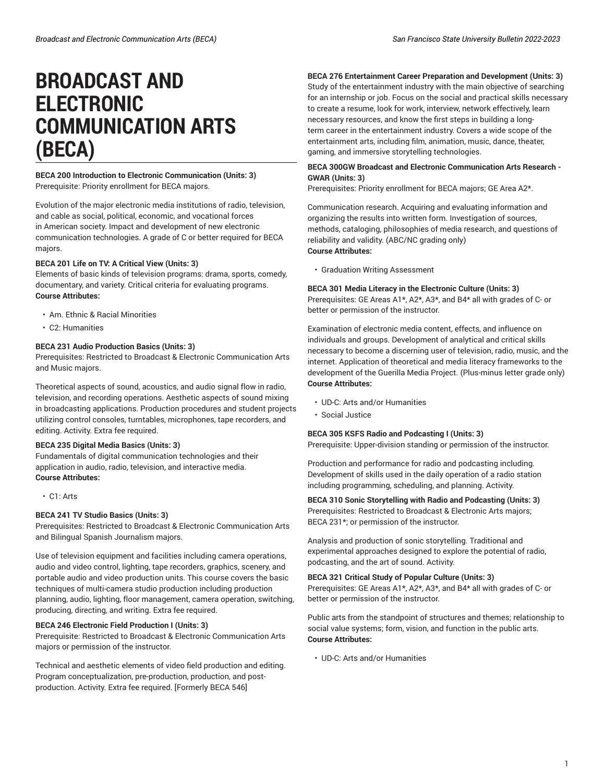# **BROADCAST AND ELECTRONIC COMMUNICATION ARTS (BECA)**

### **BECA 200 Introduction to Electronic Communication (Units: 3)** Prerequisite: Priority enrollment for BECA majors.

Evolution of the major electronic media institutions of radio, television, and cable as social, political, economic, and vocational forces in American society. Impact and development of new electronic communication technologies. A grade of C or better required for BECA majors.

### **BECA 201 Life on TV: A Critical View (Units: 3)**

Elements of basic kinds of television programs: drama, sports, comedy, documentary, and variety. Critical criteria for evaluating programs. **Course Attributes:**

- Am. Ethnic & Racial Minorities
- C2: Humanities

### **BECA 231 Audio Production Basics (Units: 3)**

Prerequisites: Restricted to Broadcast & Electronic Communication Arts and Music majors.

Theoretical aspects of sound, acoustics, and audio signal flow in radio, television, and recording operations. Aesthetic aspects of sound mixing in broadcasting applications. Production procedures and student projects utilizing control consoles, turntables, microphones, tape recorders, and editing. Activity. Extra fee required.

### **BECA 235 Digital Media Basics (Units: 3)**

Fundamentals of digital communication technologies and their application in audio, radio, television, and interactive media. **Course Attributes:**

• C1: Arts

### **BECA 241 TV Studio Basics (Units: 3)**

Prerequisites: Restricted to Broadcast & Electronic Communication Arts and Bilingual Spanish Journalism majors.

Use of television equipment and facilities including camera operations, audio and video control, lighting, tape recorders, graphics, scenery, and portable audio and video production units. This course covers the basic techniques of multi-camera studio production including production planning, audio, lighting, floor management, camera operation, switching, producing, directing, and writing. Extra fee required.

### **BECA 246 Electronic Field Production I (Units: 3)**

Prerequisite: Restricted to Broadcast & Electronic Communication Arts majors or permission of the instructor.

Technical and aesthetic elements of video field production and editing. Program conceptualization, pre-production, production, and postproduction. Activity. Extra fee required. [Formerly BECA 546]

### **BECA 276 Entertainment Career Preparation and Development (Units: 3)**

Study of the entertainment industry with the main objective of searching for an internship or job. Focus on the social and practical skills necessary to create a resume, look for work, interview, network effectively, learn necessary resources, and know the first steps in building a longterm career in the entertainment industry. Covers a wide scope of the entertainment arts, including film, animation, music, dance, theater, gaming, and immersive storytelling technologies.

### **BECA 300GW Broadcast and Electronic Communication Arts Research - GWAR (Units: 3)**

Prerequisites: Priority enrollment for BECA majors; GE Area A2\*.

Communication research. Acquiring and evaluating information and organizing the results into written form. Investigation of sources, methods, cataloging, philosophies of media research, and questions of reliability and validity. (ABC/NC grading only) **Course Attributes:**

• Graduation Writing Assessment

### **BECA 301 Media Literacy in the Electronic Culture (Units: 3)**

Prerequisites: GE Areas A1\*, A2\*, A3\*, and B4\* all with grades of C- or better or permission of the instructor.

Examination of electronic media content, effects, and influence on individuals and groups. Development of analytical and critical skills necessary to become a discerning user of television, radio, music, and the internet. Application of theoretical and media literacy frameworks to the development of the Guerilla Media Project. (Plus-minus letter grade only) **Course Attributes:**

- UD-C: Arts and/or Humanities
- Social Justice

### **BECA 305 KSFS Radio and Podcasting I (Units: 3)**

Prerequisite: Upper-division standing or permission of the instructor.

Production and performance for radio and podcasting including. Development of skills used in the daily operation of a radio station including programming, scheduling, and planning. Activity.

### **BECA 310 Sonic Storytelling with Radio and Podcasting (Units: 3)**

Prerequisites: Restricted to Broadcast & Electronic Arts majors; BECA 231\*; or permission of the instructor.

Analysis and production of sonic storytelling. Traditional and experimental approaches designed to explore the potential of radio, podcasting, and the art of sound. Activity.

### **BECA 321 Critical Study of Popular Culture (Units: 3)**

Prerequisites: GE Areas A1\*, A2\*, A3\*, and B4\* all with grades of C- or better or permission of the instructor.

Public arts from the standpoint of structures and themes; relationship to social value systems; form, vision, and function in the public arts. **Course Attributes:**

• UD-C: Arts and/or Humanities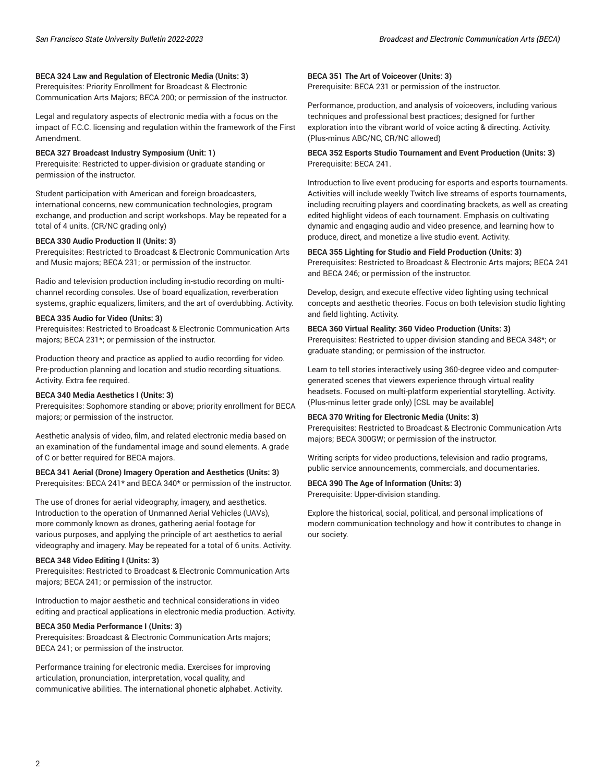### **BECA 324 Law and Regulation of Electronic Media (Units: 3)**

Prerequisites: Priority Enrollment for Broadcast & Electronic Communication Arts Majors; BECA 200; or permission of the instructor.

Legal and regulatory aspects of electronic media with a focus on the impact of F.C.C. licensing and regulation within the framework of the First Amendment.

#### **BECA 327 Broadcast Industry Symposium (Unit: 1)**

Prerequisite: Restricted to upper-division or graduate standing or permission of the instructor.

Student participation with American and foreign broadcasters, international concerns, new communication technologies, program exchange, and production and script workshops. May be repeated for a total of 4 units. (CR/NC grading only)

### **BECA 330 Audio Production II (Units: 3)**

Prerequisites: Restricted to Broadcast & Electronic Communication Arts and Music majors; BECA 231; or permission of the instructor.

Radio and television production including in-studio recording on multichannel recording consoles. Use of board equalization, reverberation systems, graphic equalizers, limiters, and the art of overdubbing. Activity.

#### **BECA 335 Audio for Video (Units: 3)**

Prerequisites: Restricted to Broadcast & Electronic Communication Arts majors; BECA 231\*; or permission of the instructor.

Production theory and practice as applied to audio recording for video. Pre-production planning and location and studio recording situations. Activity. Extra fee required.

#### **BECA 340 Media Aesthetics I (Units: 3)**

Prerequisites: Sophomore standing or above; priority enrollment for BECA majors; or permission of the instructor.

Aesthetic analysis of video, film, and related electronic media based on an examination of the fundamental image and sound elements. A grade of C or better required for BECA majors.

### **BECA 341 Aerial (Drone) Imagery Operation and Aesthetics (Units: 3)**

Prerequisites: BECA 241\* and BECA 340\* or permission of the instructor.

The use of drones for aerial videography, imagery, and aesthetics. Introduction to the operation of Unmanned Aerial Vehicles (UAVs), more commonly known as drones, gathering aerial footage for various purposes, and applying the principle of art aesthetics to aerial videography and imagery. May be repeated for a total of 6 units. Activity.

#### **BECA 348 Video Editing I (Units: 3)**

Prerequisites: Restricted to Broadcast & Electronic Communication Arts majors; BECA 241; or permission of the instructor.

Introduction to major aesthetic and technical considerations in video editing and practical applications in electronic media production. Activity.

#### **BECA 350 Media Performance I (Units: 3)**

Prerequisites: Broadcast & Electronic Communication Arts majors; BECA 241; or permission of the instructor.

Performance training for electronic media. Exercises for improving articulation, pronunciation, interpretation, vocal quality, and communicative abilities. The international phonetic alphabet. Activity.

#### **BECA 351 The Art of Voiceover (Units: 3)**

Prerequisite: BECA 231 or permission of the instructor.

Performance, production, and analysis of voiceovers, including various techniques and professional best practices; designed for further exploration into the vibrant world of voice acting & directing. Activity. (Plus-minus ABC/NC, CR/NC allowed)

#### **BECA 352 Esports Studio Tournament and Event Production (Units: 3)** Prerequisite: BECA 241.

Introduction to live event producing for esports and esports tournaments. Activities will include weekly Twitch live streams of esports tournaments, including recruiting players and coordinating brackets, as well as creating edited highlight videos of each tournament. Emphasis on cultivating dynamic and engaging audio and video presence, and learning how to produce, direct, and monetize a live studio event. Activity.

### **BECA 355 Lighting for Studio and Field Production (Units: 3)**

Prerequisites: Restricted to Broadcast & Electronic Arts majors; BECA 241 and BECA 246; or permission of the instructor.

Develop, design, and execute effective video lighting using technical concepts and aesthetic theories. Focus on both television studio lighting and field lighting. Activity.

### **BECA 360 Virtual Reality: 360 Video Production (Units: 3)**

Prerequisites: Restricted to upper-division standing and BECA 348\*; or graduate standing; or permission of the instructor.

Learn to tell stories interactively using 360-degree video and computergenerated scenes that viewers experience through virtual reality headsets. Focused on multi-platform experiential storytelling. Activity. (Plus-minus letter grade only) [CSL may be available]

#### **BECA 370 Writing for Electronic Media (Units: 3)**

Prerequisites: Restricted to Broadcast & Electronic Communication Arts majors; BECA 300GW; or permission of the instructor.

Writing scripts for video productions, television and radio programs, public service announcements, commercials, and documentaries.

### **BECA 390 The Age of Information (Units: 3)**

Prerequisite: Upper-division standing.

Explore the historical, social, political, and personal implications of modern communication technology and how it contributes to change in our society.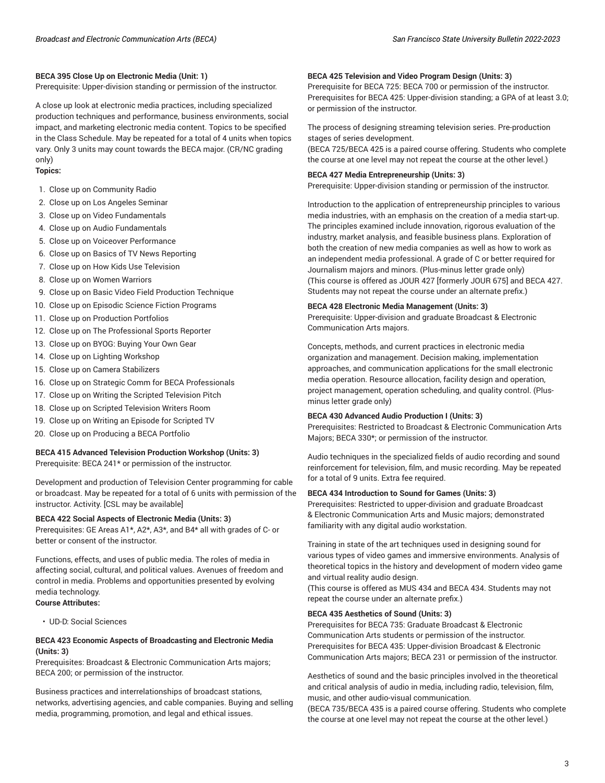### **BECA 395 Close Up on Electronic Media (Unit: 1)**

Prerequisite: Upper-division standing or permission of the instructor.

A close up look at electronic media practices, including specialized production techniques and performance, business environments, social impact, and marketing electronic media content. Topics to be specified in the Class Schedule. May be repeated for a total of 4 units when topics vary. Only 3 units may count towards the BECA major. (CR/NC grading only)

#### **Topics:**

- 1. Close up on Community Radio
- 2. Close up on Los Angeles Seminar
- 3. Close up on Video Fundamentals
- 4. Close up on Audio Fundamentals
- 5. Close up on Voiceover Performance
- 6. Close up on Basics of TV News Reporting
- 7. Close up on How Kids Use Television
- 8. Close up on Women Warriors
- 9. Close up on Basic Video Field Production Technique
- 10. Close up on Episodic Science Fiction Programs
- 11. Close up on Production Portfolios
- 12. Close up on The Professional Sports Reporter
- 13. Close up on BYOG: Buying Your Own Gear
- 14. Close up on Lighting Workshop
- 15. Close up on Camera Stabilizers
- 16. Close up on Strategic Comm for BECA Professionals
- 17. Close up on Writing the Scripted Television Pitch
- 18. Close up on Scripted Television Writers Room
- 19. Close up on Writing an Episode for Scripted TV
- 20. Close up on Producing a BECA Portfolio

### **BECA 415 Advanced Television Production Workshop (Units: 3)**

Prerequisite: BECA 241\* or permission of the instructor.

Development and production of Television Center programming for cable or broadcast. May be repeated for a total of 6 units with permission of the instructor. Activity. [CSL may be available]

#### **BECA 422 Social Aspects of Electronic Media (Units: 3)**

Prerequisites: GE Areas A1\*, A2\*, A3\*, and B4\* all with grades of C- or better or consent of the instructor.

Functions, effects, and uses of public media. The roles of media in affecting social, cultural, and political values. Avenues of freedom and control in media. Problems and opportunities presented by evolving media technology. **Course Attributes:**

• UD-D: Social Sciences

### **BECA 423 Economic Aspects of Broadcasting and Electronic Media (Units: 3)**

Prerequisites: Broadcast & Electronic Communication Arts majors; BECA 200; or permission of the instructor.

Business practices and interrelationships of broadcast stations, networks, advertising agencies, and cable companies. Buying and selling media, programming, promotion, and legal and ethical issues.

#### **BECA 425 Television and Video Program Design (Units: 3)**

Prerequisite for BECA 725: BECA 700 or permission of the instructor. Prerequisites for BECA 425: Upper-division standing; a GPA of at least 3.0; or permission of the instructor.

The process of designing streaming television series. Pre-production stages of series development.

(BECA 725/BECA 425 is a paired course offering. Students who complete the course at one level may not repeat the course at the other level.)

### **BECA 427 Media Entrepreneurship (Units: 3)**

Prerequisite: Upper-division standing or permission of the instructor.

Introduction to the application of entrepreneurship principles to various media industries, with an emphasis on the creation of a media start-up. The principles examined include innovation, rigorous evaluation of the industry, market analysis, and feasible business plans. Exploration of both the creation of new media companies as well as how to work as an independent media professional. A grade of C or better required for Journalism majors and minors. (Plus-minus letter grade only) (This course is offered as JOUR 427 [formerly JOUR 675] and BECA 427. Students may not repeat the course under an alternate prefix.)

### **BECA 428 Electronic Media Management (Units: 3)**

Prerequisite: Upper-division and graduate Broadcast & Electronic Communication Arts majors.

Concepts, methods, and current practices in electronic media organization and management. Decision making, implementation approaches, and communication applications for the small electronic media operation. Resource allocation, facility design and operation, project management, operation scheduling, and quality control. (Plusminus letter grade only)

#### **BECA 430 Advanced Audio Production I (Units: 3)**

Prerequisites: Restricted to Broadcast & Electronic Communication Arts Majors; BECA 330\*; or permission of the instructor.

Audio techniques in the specialized fields of audio recording and sound reinforcement for television, film, and music recording. May be repeated for a total of 9 units. Extra fee required.

#### **BECA 434 Introduction to Sound for Games (Units: 3)**

Prerequisites: Restricted to upper-division and graduate Broadcast & Electronic Communication Arts and Music majors; demonstrated familiarity with any digital audio workstation.

Training in state of the art techniques used in designing sound for various types of video games and immersive environments. Analysis of theoretical topics in the history and development of modern video game and virtual reality audio design.

(This course is offered as MUS 434 and BECA 434. Students may not repeat the course under an alternate prefix.)

### **BECA 435 Aesthetics of Sound (Units: 3)**

Prerequisites for BECA 735: Graduate Broadcast & Electronic Communication Arts students or permission of the instructor. Prerequisites for BECA 435: Upper-division Broadcast & Electronic Communication Arts majors; BECA 231 or permission of the instructor.

Aesthetics of sound and the basic principles involved in the theoretical and critical analysis of audio in media, including radio, television, film, music, and other audio-visual communication.

(BECA 735/BECA 435 is a paired course offering. Students who complete the course at one level may not repeat the course at the other level.)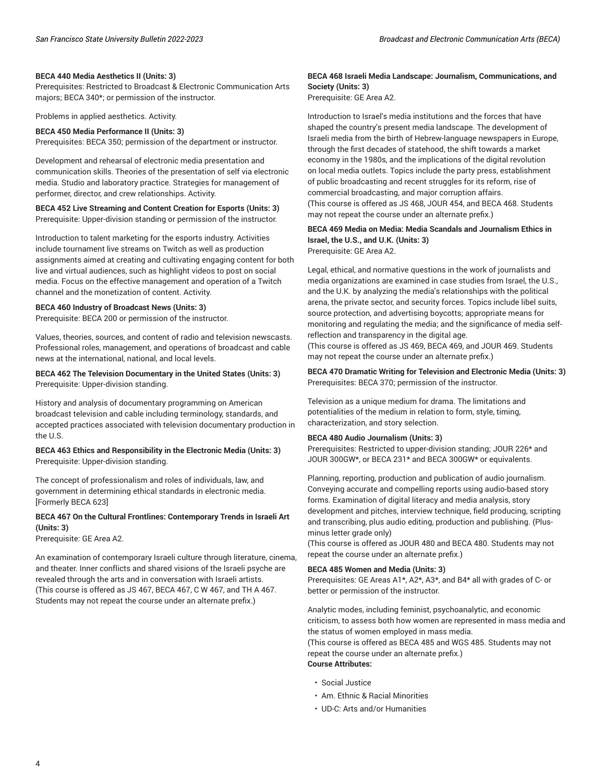### **BECA 440 Media Aesthetics II (Units: 3)**

Prerequisites: Restricted to Broadcast & Electronic Communication Arts majors; BECA 340\*; or permission of the instructor.

Problems in applied aesthetics. Activity.

#### **BECA 450 Media Performance II (Units: 3)**

Prerequisites: BECA 350; permission of the department or instructor.

Development and rehearsal of electronic media presentation and communication skills. Theories of the presentation of self via electronic media. Studio and laboratory practice. Strategies for management of performer, director, and crew relationships. Activity.

#### **BECA 452 Live Streaming and Content Creation for Esports (Units: 3)** Prerequisite: Upper-division standing or permission of the instructor.

Introduction to talent marketing for the esports industry. Activities include tournament live streams on Twitch as well as production assignments aimed at creating and cultivating engaging content for both live and virtual audiences, such as highlight videos to post on social media. Focus on the effective management and operation of a Twitch channel and the monetization of content. Activity.

#### **BECA 460 Industry of Broadcast News (Units: 3)**

Prerequisite: BECA 200 or permission of the instructor.

Values, theories, sources, and content of radio and television newscasts. Professional roles, management, and operations of broadcast and cable news at the international, national, and local levels.

### **BECA 462 The Television Documentary in the United States (Units: 3)** Prerequisite: Upper-division standing.

History and analysis of documentary programming on American broadcast television and cable including terminology, standards, and accepted practices associated with television documentary production in the U.S.

#### **BECA 463 Ethics and Responsibility in the Electronic Media (Units: 3)** Prerequisite: Upper-division standing.

The concept of professionalism and roles of individuals, law, and government in determining ethical standards in electronic media. [Formerly BECA 623]

### **BECA 467 On the Cultural Frontlines: Contemporary Trends in Israeli Art (Units: 3)**

Prerequisite: GE Area A2.

An examination of contemporary Israeli culture through literature, cinema, and theater. Inner conflicts and shared visions of the Israeli psyche are revealed through the arts and in conversation with Israeli artists. (This course is offered as JS 467, BECA 467, C W 467, and TH A 467. Students may not repeat the course under an alternate prefix.)

### **BECA 468 Israeli Media Landscape: Journalism, Communications, and Society (Units: 3)**

Prerequisite: GE Area A2.

Introduction to Israel's media institutions and the forces that have shaped the country's present media landscape. The development of Israeli media from the birth of Hebrew-language newspapers in Europe, through the first decades of statehood, the shift towards a market economy in the 1980s, and the implications of the digital revolution on local media outlets. Topics include the party press, establishment of public broadcasting and recent struggles for its reform, rise of commercial broadcasting, and major corruption affairs. (This course is offered as JS 468, JOUR 454, and BECA 468. Students may not repeat the course under an alternate prefix.)

#### **BECA 469 Media on Media: Media Scandals and Journalism Ethics in Israel, the U.S., and U.K. (Units: 3)** Prerequisite: GE Area A2.

Legal, ethical, and normative questions in the work of journalists and media organizations are examined in case studies from Israel, the U.S., and the U.K. by analyzing the media's relationships with the political arena, the private sector, and security forces. Topics include libel suits, source protection, and advertising boycotts; appropriate means for monitoring and regulating the media; and the significance of media selfreflection and transparency in the digital age.

(This course is offered as JS 469, BECA 469, and JOUR 469. Students may not repeat the course under an alternate prefix.)

### **BECA 470 Dramatic Writing for Television and Electronic Media (Units: 3)** Prerequisites: BECA 370; permission of the instructor.

Television as a unique medium for drama. The limitations and potentialities of the medium in relation to form, style, timing, characterization, and story selection.

### **BECA 480 Audio Journalism (Units: 3)**

Prerequisites: Restricted to upper-division standing; JOUR 226\* and JOUR 300GW\*, or BECA 231\* and BECA 300GW\* or equivalents.

Planning, reporting, production and publication of audio journalism. Conveying accurate and compelling reports using audio-based story forms. Examination of digital literacy and media analysis, story development and pitches, interview technique, field producing, scripting and transcribing, plus audio editing, production and publishing. (Plusminus letter grade only)

(This course is offered as JOUR 480 and BECA 480. Students may not repeat the course under an alternate prefix.)

#### **BECA 485 Women and Media (Units: 3)**

Prerequisites: GE Areas A1\*, A2\*, A3\*, and B4\* all with grades of C- or better or permission of the instructor.

Analytic modes, including feminist, psychoanalytic, and economic criticism, to assess both how women are represented in mass media and the status of women employed in mass media. (This course is offered as BECA 485 and WGS 485. Students may not

repeat the course under an alternate prefix.) **Course Attributes:**

- Social Justice
- Am. Ethnic & Racial Minorities
- UD-C: Arts and/or Humanities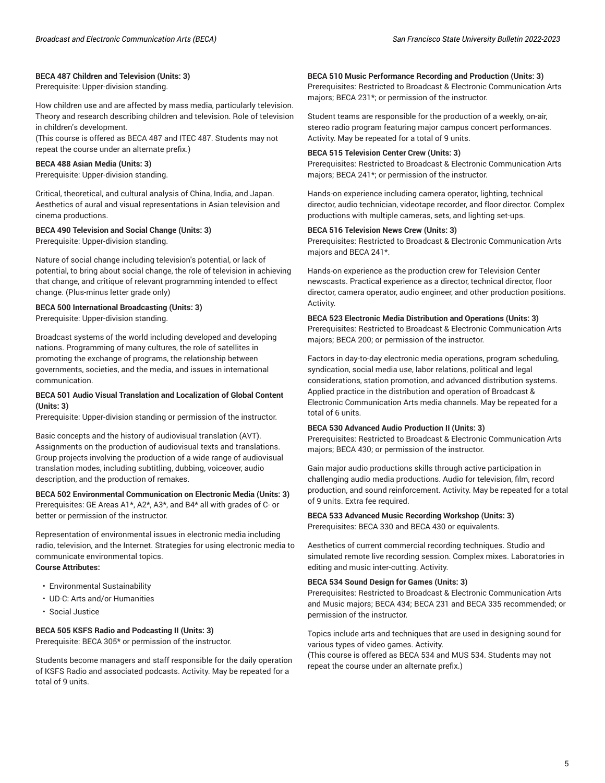### **BECA 487 Children and Television (Units: 3)**

Prerequisite: Upper-division standing.

How children use and are affected by mass media, particularly television. Theory and research describing children and television. Role of television in children's development.

(This course is offered as BECA 487 and ITEC 487. Students may not repeat the course under an alternate prefix.)

### **BECA 488 Asian Media (Units: 3)**

Prerequisite: Upper-division standing.

Critical, theoretical, and cultural analysis of China, India, and Japan. Aesthetics of aural and visual representations in Asian television and cinema productions.

#### **BECA 490 Television and Social Change (Units: 3)**

Prerequisite: Upper-division standing.

Nature of social change including television's potential, or lack of potential, to bring about social change, the role of television in achieving that change, and critique of relevant programming intended to effect change. (Plus-minus letter grade only)

### **BECA 500 International Broadcasting (Units: 3)**

Prerequisite: Upper-division standing.

Broadcast systems of the world including developed and developing nations. Programming of many cultures, the role of satellites in promoting the exchange of programs, the relationship between governments, societies, and the media, and issues in international communication.

### **BECA 501 Audio Visual Translation and Localization of Global Content (Units: 3)**

Prerequisite: Upper-division standing or permission of the instructor.

Basic concepts and the history of audiovisual translation (AVT). Assignments on the production of audiovisual texts and translations. Group projects involving the production of a wide range of audiovisual translation modes, including subtitling, dubbing, voiceover, audio description, and the production of remakes.

### **BECA 502 Environmental Communication on Electronic Media (Units: 3)** Prerequisites: GE Areas A1\*, A2\*, A3\*, and B4\* all with grades of C- or better or permission of the instructor.

Representation of environmental issues in electronic media including radio, television, and the Internet. Strategies for using electronic media to communicate environmental topics. **Course Attributes:**

- Environmental Sustainability
- UD-C: Arts and/or Humanities
- Social Justice

### **BECA 505 KSFS Radio and Podcasting II (Units: 3)**

Prerequisite: BECA 305\* or permission of the instructor.

Students become managers and staff responsible for the daily operation of KSFS Radio and associated podcasts. Activity. May be repeated for a total of 9 units.

#### **BECA 510 Music Performance Recording and Production (Units: 3)**

Prerequisites: Restricted to Broadcast & Electronic Communication Arts majors; BECA 231\*; or permission of the instructor.

Student teams are responsible for the production of a weekly, on-air, stereo radio program featuring major campus concert performances. Activity. May be repeated for a total of 9 units.

#### **BECA 515 Television Center Crew (Units: 3)**

Prerequisites: Restricted to Broadcast & Electronic Communication Arts majors; BECA 241\*; or permission of the instructor.

Hands-on experience including camera operator, lighting, technical director, audio technician, videotape recorder, and floor director. Complex productions with multiple cameras, sets, and lighting set-ups.

#### **BECA 516 Television News Crew (Units: 3)**

Prerequisites: Restricted to Broadcast & Electronic Communication Arts majors and BECA 241\*.

Hands-on experience as the production crew for Television Center newscasts. Practical experience as a director, technical director, floor director, camera operator, audio engineer, and other production positions. Activity.

#### **BECA 523 Electronic Media Distribution and Operations (Units: 3)**

Prerequisites: Restricted to Broadcast & Electronic Communication Arts majors; BECA 200; or permission of the instructor.

Factors in day-to-day electronic media operations, program scheduling, syndication, social media use, labor relations, political and legal considerations, station promotion, and advanced distribution systems. Applied practice in the distribution and operation of Broadcast & Electronic Communication Arts media channels. May be repeated for a total of 6 units.

#### **BECA 530 Advanced Audio Production II (Units: 3)**

Prerequisites: Restricted to Broadcast & Electronic Communication Arts majors; BECA 430; or permission of the instructor.

Gain major audio productions skills through active participation in challenging audio media productions. Audio for television, film, record production, and sound reinforcement. Activity. May be repeated for a total of 9 units. Extra fee required.

#### **BECA 533 Advanced Music Recording Workshop (Units: 3)** Prerequisites: BECA 330 and BECA 430 or equivalents.

Aesthetics of current commercial recording techniques. Studio and simulated remote live recording session. Complex mixes. Laboratories in editing and music inter-cutting. Activity.

#### **BECA 534 Sound Design for Games (Units: 3)**

Prerequisites: Restricted to Broadcast & Electronic Communication Arts and Music majors; BECA 434; BECA 231 and BECA 335 recommended; or permission of the instructor.

Topics include arts and techniques that are used in designing sound for various types of video games. Activity.

(This course is offered as BECA 534 and MUS 534. Students may not repeat the course under an alternate prefix.)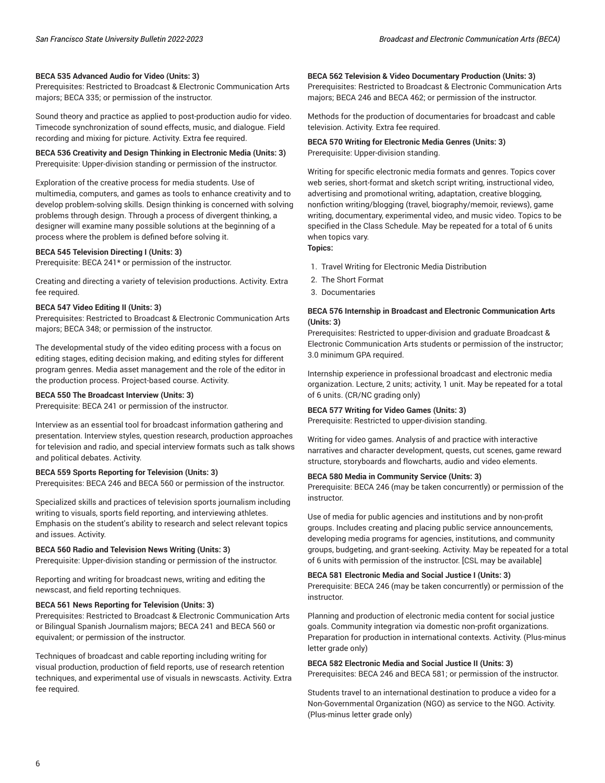#### **BECA 535 Advanced Audio for Video (Units: 3)**

Prerequisites: Restricted to Broadcast & Electronic Communication Arts majors; BECA 335; or permission of the instructor.

Sound theory and practice as applied to post-production audio for video. Timecode synchronization of sound effects, music, and dialogue. Field recording and mixing for picture. Activity. Extra fee required.

**BECA 536 Creativity and Design Thinking in Electronic Media (Units: 3)** Prerequisite: Upper-division standing or permission of the instructor.

Exploration of the creative process for media students. Use of multimedia, computers, and games as tools to enhance creativity and to develop problem-solving skills. Design thinking is concerned with solving problems through design. Through a process of divergent thinking, a designer will examine many possible solutions at the beginning of a process where the problem is defined before solving it.

#### **BECA 545 Television Directing I (Units: 3)**

Prerequisite: BECA 241\* or permission of the instructor.

Creating and directing a variety of television productions. Activity. Extra fee required.

#### **BECA 547 Video Editing II (Units: 3)**

Prerequisites: Restricted to Broadcast & Electronic Communication Arts majors; BECA 348; or permission of the instructor.

The developmental study of the video editing process with a focus on editing stages, editing decision making, and editing styles for different program genres. Media asset management and the role of the editor in the production process. Project-based course. Activity.

#### **BECA 550 The Broadcast Interview (Units: 3)**

Prerequisite: BECA 241 or permission of the instructor.

Interview as an essential tool for broadcast information gathering and presentation. Interview styles, question research, production approaches for television and radio, and special interview formats such as talk shows and political debates. Activity.

#### **BECA 559 Sports Reporting for Television (Units: 3)**

Prerequisites: BECA 246 and BECA 560 or permission of the instructor.

Specialized skills and practices of television sports journalism including writing to visuals, sports field reporting, and interviewing athletes. Emphasis on the student's ability to research and select relevant topics and issues. Activity.

#### **BECA 560 Radio and Television News Writing (Units: 3)**

Prerequisite: Upper-division standing or permission of the instructor.

Reporting and writing for broadcast news, writing and editing the newscast, and field reporting techniques.

#### **BECA 561 News Reporting for Television (Units: 3)**

Prerequisites: Restricted to Broadcast & Electronic Communication Arts or Bilingual Spanish Journalism majors; BECA 241 and BECA 560 or equivalent; or permission of the instructor.

Techniques of broadcast and cable reporting including writing for visual production, production of field reports, use of research retention techniques, and experimental use of visuals in newscasts. Activity. Extra fee required.

#### **BECA 562 Television & Video Documentary Production (Units: 3)**

Prerequisites: Restricted to Broadcast & Electronic Communication Arts majors; BECA 246 and BECA 462; or permission of the instructor.

Methods for the production of documentaries for broadcast and cable television. Activity. Extra fee required.

#### **BECA 570 Writing for Electronic Media Genres (Units: 3)** Prerequisite: Upper-division standing.

Writing for specific electronic media formats and genres. Topics cover web series, short-format and sketch script writing, instructional video, advertising and promotional writing, adaptation, creative blogging, nonfiction writing/blogging (travel, biography/memoir, reviews), game writing, documentary, experimental video, and music video. Topics to be specified in the Class Schedule. May be repeated for a total of 6 units when topics vary.

**Topics:**

- 1. Travel Writing for Electronic Media Distribution
- 2. The Short Format
- 3. Documentaries

#### **BECA 576 Internship in Broadcast and Electronic Communication Arts (Units: 3)**

Prerequisites: Restricted to upper-division and graduate Broadcast & Electronic Communication Arts students or permission of the instructor; 3.0 minimum GPA required.

Internship experience in professional broadcast and electronic media organization. Lecture, 2 units; activity, 1 unit. May be repeated for a total of 6 units. (CR/NC grading only)

#### **BECA 577 Writing for Video Games (Units: 3)**

Prerequisite: Restricted to upper-division standing.

Writing for video games. Analysis of and practice with interactive narratives and character development, quests, cut scenes, game reward structure, storyboards and flowcharts, audio and video elements.

#### **BECA 580 Media in Community Service (Units: 3)**

Prerequisite: BECA 246 (may be taken concurrently) or permission of the instructor.

Use of media for public agencies and institutions and by non-profit groups. Includes creating and placing public service announcements, developing media programs for agencies, institutions, and community groups, budgeting, and grant-seeking. Activity. May be repeated for a total of 6 units with permission of the instructor. [CSL may be available]

### **BECA 581 Electronic Media and Social Justice I (Units: 3)**

Prerequisite: BECA 246 (may be taken concurrently) or permission of the instructor.

Planning and production of electronic media content for social justice goals. Community integration via domestic non-profit organizations. Preparation for production in international contexts. Activity. (Plus-minus letter grade only)

# **BECA 582 Electronic Media and Social Justice II (Units: 3)**

Prerequisites: BECA 246 and BECA 581; or permission of the instructor.

Students travel to an international destination to produce a video for a Non-Governmental Organization (NGO) as service to the NGO. Activity. (Plus-minus letter grade only)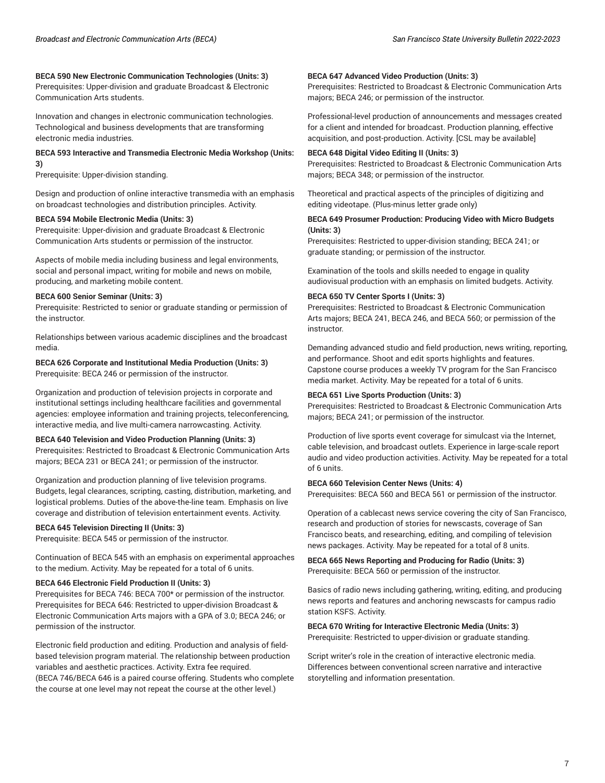### **BECA 590 New Electronic Communication Technologies (Units: 3)**

Prerequisites: Upper-division and graduate Broadcast & Electronic Communication Arts students.

Innovation and changes in electronic communication technologies. Technological and business developments that are transforming electronic media industries.

#### **BECA 593 Interactive and Transmedia Electronic Media Workshop (Units: 3)**

Prerequisite: Upper-division standing.

Design and production of online interactive transmedia with an emphasis on broadcast technologies and distribution principles. Activity.

### **BECA 594 Mobile Electronic Media (Units: 3)**

Prerequisite: Upper-division and graduate Broadcast & Electronic Communication Arts students or permission of the instructor.

Aspects of mobile media including business and legal environments, social and personal impact, writing for mobile and news on mobile, producing, and marketing mobile content.

#### **BECA 600 Senior Seminar (Units: 3)**

Prerequisite: Restricted to senior or graduate standing or permission of the instructor.

Relationships between various academic disciplines and the broadcast media.

**BECA 626 Corporate and Institutional Media Production (Units: 3)** Prerequisite: BECA 246 or permission of the instructor.

Organization and production of television projects in corporate and institutional settings including healthcare facilities and governmental agencies: employee information and training projects, teleconferencing, interactive media, and live multi-camera narrowcasting. Activity.

### **BECA 640 Television and Video Production Planning (Units: 3)**

Prerequisites: Restricted to Broadcast & Electronic Communication Arts majors; BECA 231 or BECA 241; or permission of the instructor.

Organization and production planning of live television programs. Budgets, legal clearances, scripting, casting, distribution, marketing, and logistical problems. Duties of the above-the-line team. Emphasis on live coverage and distribution of television entertainment events. Activity.

### **BECA 645 Television Directing II (Units: 3)**

Prerequisite: BECA 545 or permission of the instructor.

Continuation of BECA 545 with an emphasis on experimental approaches to the medium. Activity. May be repeated for a total of 6 units.

#### **BECA 646 Electronic Field Production II (Units: 3)**

Prerequisites for BECA 746: BECA 700\* or permission of the instructor. Prerequisites for BECA 646: Restricted to upper-division Broadcast & Electronic Communication Arts majors with a GPA of 3.0; BECA 246; or permission of the instructor.

Electronic field production and editing. Production and analysis of fieldbased television program material. The relationship between production variables and aesthetic practices. Activity. Extra fee required. (BECA 746/BECA 646 is a paired course offering. Students who complete the course at one level may not repeat the course at the other level.)

#### **BECA 647 Advanced Video Production (Units: 3)**

Prerequisites: Restricted to Broadcast & Electronic Communication Arts majors; BECA 246; or permission of the instructor.

Professional-level production of announcements and messages created for a client and intended for broadcast. Production planning, effective acquisition, and post-production. Activity. [CSL may be available]

### **BECA 648 Digital Video Editing II (Units: 3)**

Prerequisites: Restricted to Broadcast & Electronic Communication Arts majors; BECA 348; or permission of the instructor.

Theoretical and practical aspects of the principles of digitizing and editing videotape. (Plus-minus letter grade only)

### **BECA 649 Prosumer Production: Producing Video with Micro Budgets (Units: 3)**

Prerequisites: Restricted to upper-division standing; BECA 241; or graduate standing; or permission of the instructor.

Examination of the tools and skills needed to engage in quality audiovisual production with an emphasis on limited budgets. Activity.

#### **BECA 650 TV Center Sports I (Units: 3)**

Prerequisites: Restricted to Broadcast & Electronic Communication Arts majors; BECA 241, BECA 246, and BECA 560; or permission of the instructor.

Demanding advanced studio and field production, news writing, reporting, and performance. Shoot and edit sports highlights and features. Capstone course produces a weekly TV program for the San Francisco media market. Activity. May be repeated for a total of 6 units.

#### **BECA 651 Live Sports Production (Units: 3)**

Prerequisites: Restricted to Broadcast & Electronic Communication Arts majors; BECA 241; or permission of the instructor.

Production of live sports event coverage for simulcast via the Internet, cable television, and broadcast outlets. Experience in large-scale report audio and video production activities. Activity. May be repeated for a total of 6 units.

#### **BECA 660 Television Center News (Units: 4)**

Prerequisites: BECA 560 and BECA 561 or permission of the instructor.

Operation of a cablecast news service covering the city of San Francisco, research and production of stories for newscasts, coverage of San Francisco beats, and researching, editing, and compiling of television news packages. Activity. May be repeated for a total of 8 units.

### **BECA 665 News Reporting and Producing for Radio (Units: 3)** Prerequisite: BECA 560 or permission of the instructor.

Basics of radio news including gathering, writing, editing, and producing news reports and features and anchoring newscasts for campus radio station KSFS. Activity.

#### **BECA 670 Writing for Interactive Electronic Media (Units: 3)**

Prerequisite: Restricted to upper-division or graduate standing.

Script writer's role in the creation of interactive electronic media. Differences between conventional screen narrative and interactive storytelling and information presentation.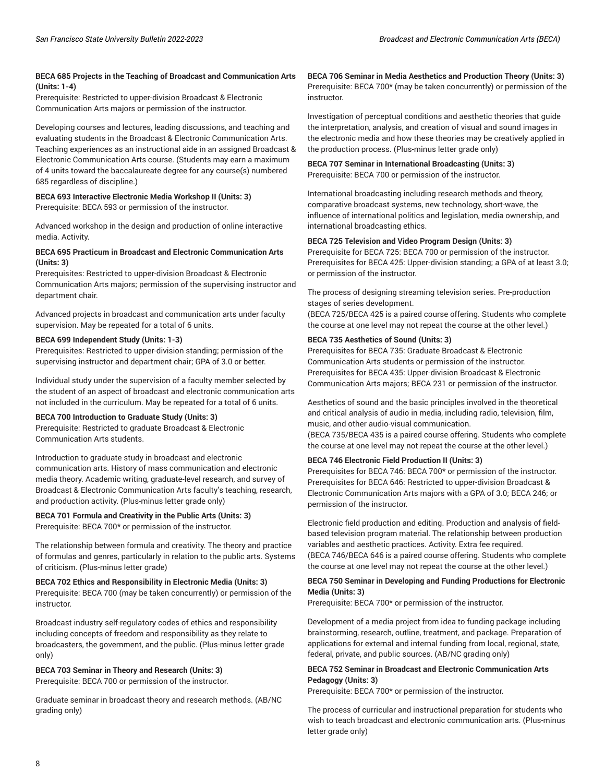### **BECA 685 Projects in the Teaching of Broadcast and Communication Arts (Units: 1-4)**

Prerequisite: Restricted to upper-division Broadcast & Electronic Communication Arts majors or permission of the instructor.

Developing courses and lectures, leading discussions, and teaching and evaluating students in the Broadcast & Electronic Communication Arts. Teaching experiences as an instructional aide in an assigned Broadcast & Electronic Communication Arts course. (Students may earn a maximum of 4 units toward the baccalaureate degree for any course(s) numbered 685 regardless of discipline.)

### **BECA 693 Interactive Electronic Media Workshop II (Units: 3)** Prerequisite: BECA 593 or permission of the instructor.

Advanced workshop in the design and production of online interactive media. Activity.

### **BECA 695 Practicum in Broadcast and Electronic Communication Arts (Units: 3)**

Prerequisites: Restricted to upper-division Broadcast & Electronic Communication Arts majors; permission of the supervising instructor and department chair.

Advanced projects in broadcast and communication arts under faculty supervision. May be repeated for a total of 6 units.

### **BECA 699 Independent Study (Units: 1-3)**

Prerequisites: Restricted to upper-division standing; permission of the supervising instructor and department chair; GPA of 3.0 or better.

Individual study under the supervision of a faculty member selected by the student of an aspect of broadcast and electronic communication arts not included in the curriculum. May be repeated for a total of 6 units.

### **BECA 700 Introduction to Graduate Study (Units: 3)**

Prerequisite: Restricted to graduate Broadcast & Electronic Communication Arts students.

#### Introduction to graduate study in broadcast and electronic

communication arts. History of mass communication and electronic media theory. Academic writing, graduate-level research, and survey of Broadcast & Electronic Communication Arts faculty's teaching, research, and production activity. (Plus-minus letter grade only)

# **BECA 701 Formula and Creativity in the Public Arts (Units: 3)**

Prerequisite: BECA 700\* or permission of the instructor.

The relationship between formula and creativity. The theory and practice of formulas and genres, particularly in relation to the public arts. Systems of criticism. (Plus-minus letter grade)

# **BECA 702 Ethics and Responsibility in Electronic Media (Units: 3)**

Prerequisite: BECA 700 (may be taken concurrently) or permission of the instructor.

Broadcast industry self-regulatory codes of ethics and responsibility including concepts of freedom and responsibility as they relate to broadcasters, the government, and the public. (Plus-minus letter grade only)

### **BECA 703 Seminar in Theory and Research (Units: 3)** Prerequisite: BECA 700 or permission of the instructor.

Graduate seminar in broadcast theory and research methods. (AB/NC grading only)

**BECA 706 Seminar in Media Aesthetics and Production Theory (Units: 3)** Prerequisite: BECA 700\* (may be taken concurrently) or permission of the instructor.

Investigation of perceptual conditions and aesthetic theories that guide the interpretation, analysis, and creation of visual and sound images in the electronic media and how these theories may be creatively applied in the production process. (Plus-minus letter grade only)

# **BECA 707 Seminar in International Broadcasting (Units: 3)**

Prerequisite: BECA 700 or permission of the instructor.

International broadcasting including research methods and theory, comparative broadcast systems, new technology, short-wave, the influence of international politics and legislation, media ownership, and international broadcasting ethics.

### **BECA 725 Television and Video Program Design (Units: 3)**

Prerequisite for BECA 725: BECA 700 or permission of the instructor. Prerequisites for BECA 425: Upper-division standing; a GPA of at least 3.0; or permission of the instructor.

The process of designing streaming television series. Pre-production stages of series development.

(BECA 725/BECA 425 is a paired course offering. Students who complete the course at one level may not repeat the course at the other level.)

### **BECA 735 Aesthetics of Sound (Units: 3)**

Prerequisites for BECA 735: Graduate Broadcast & Electronic Communication Arts students or permission of the instructor. Prerequisites for BECA 435: Upper-division Broadcast & Electronic Communication Arts majors; BECA 231 or permission of the instructor.

Aesthetics of sound and the basic principles involved in the theoretical and critical analysis of audio in media, including radio, television, film, music, and other audio-visual communication.

(BECA 735/BECA 435 is a paired course offering. Students who complete the course at one level may not repeat the course at the other level.)

## **BECA 746 Electronic Field Production II (Units: 3)**

Prerequisites for BECA 746: BECA 700\* or permission of the instructor. Prerequisites for BECA 646: Restricted to upper-division Broadcast & Electronic Communication Arts majors with a GPA of 3.0; BECA 246; or permission of the instructor.

Electronic field production and editing. Production and analysis of fieldbased television program material. The relationship between production variables and aesthetic practices. Activity. Extra fee required. (BECA 746/BECA 646 is a paired course offering. Students who complete the course at one level may not repeat the course at the other level.)

### **BECA 750 Seminar in Developing and Funding Productions for Electronic Media (Units: 3)**

Prerequisite: BECA 700\* or permission of the instructor.

Development of a media project from idea to funding package including brainstorming, research, outline, treatment, and package. Preparation of applications for external and internal funding from local, regional, state, federal, private, and public sources. (AB/NC grading only)

### **BECA 752 Seminar in Broadcast and Electronic Communication Arts Pedagogy (Units: 3)**

Prerequisite: BECA 700\* or permission of the instructor.

The process of curricular and instructional preparation for students who wish to teach broadcast and electronic communication arts. (Plus-minus letter grade only)